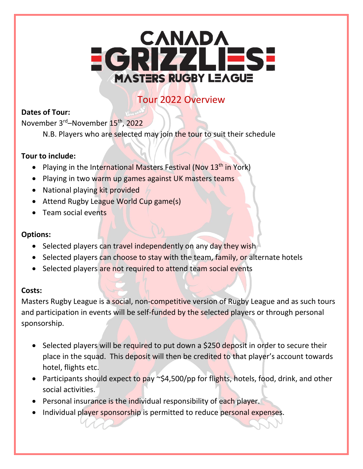# EGRIZZLIESE **MASTERS RUGBY LEAGUE**

# Tour 2022 Overview

# **Dates of Tour:**

November 3rd–November 15th, 2022

N.B. Players who are selected may join the tour to suit their schedule

## **Tour to include:**

- Playing in the International Masters Festival (Nov 13<sup>th</sup> in York)
- Playing in two warm up games against UK masters teams
- National playing kit provided
- Attend Rugby League World Cup game(s)
- Team social events

## **Options:**

- Selected players can travel independently on any day they wish
- Selected players can choose to stay with the team, family, or alternate hotels
- Selected players are not required to attend team social events

# **Costs:**

Masters Rugby League is a social, non-competitive version of Rugby League and as such tours and participation in events will be self-funded by the selected players or through personal sponsorship.

- Selected players will be required to put down a \$250 deposit in order to secure their place in the squad. This deposit will then be credited to that player's account towards hotel, flights etc.
- Participants should expect to pay  $\sim$ \$4,500/pp for flights, hotels, food, drink, and other social activities.
- Personal insurance is the individual responsibility of each player.
- Individual player sponsorship is permitted to reduce personal expenses.